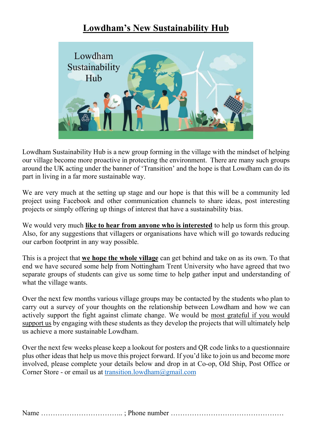# Lowdham's New Sustainability Hub



Lowdham Sustainability Hub is a new group forming in the village with the mindset of helping our village become more proactive in protecting the environment. There are many such groups around the UK acting under the banner of 'Transition' and the hope is that Lowdham can do its part in living in a far more sustainable way.

We are very much at the setting up stage and our hope is that this will be a community led project using Facebook and other communication channels to share ideas, post interesting projects or simply offering up things of interest that have a sustainability bias.

We would very much **like to hear from anyone who is interested** to help us form this group. Also, for any suggestions that villagers or organisations have which will go towards reducing our carbon footprint in any way possible.

This is a project that **we hope the whole village** can get behind and take on as its own. To that end we have secured some help from Nottingham Trent University who have agreed that two separate groups of students can give us some time to help gather input and understanding of what the village wants.

Over the next few months various village groups may be contacted by the students who plan to carry out a survey of your thoughts on the relationship between Lowdham and how we can actively support the fight against climate change. We would be most grateful if you would support us by engaging with these students as they develop the projects that will ultimately help us achieve a more sustainable Lowdham.

Over the next few weeks please keep a lookout for posters and QR code links to a questionnaire plus other ideas that help us move this project forward. If you'd like to join us and become more involved, please complete your details below and drop in at Co-op, Old Ship, Post Office or Corner Store - or email us at [transition.lowdham@gmail.com](mailto:transition.lowdham@gmail.com)

Name ««««««««««« ; Phone number ««««««««««««««««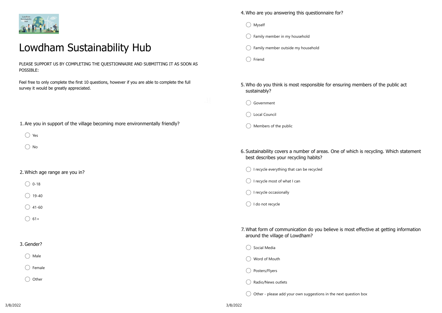

# Lowdham Sustainability Hub

PLEASE SUPPORT US BY COMPLETING THE QUESTIONNAIRE AND SUBMITTING IT AS SOON AS POSSIBLE:

Feel free to only complete the first 10 questions, however if you are able to complete the full survey it would be greatly appreciated.

1. Are you in support of the village becoming more environmentally friendly?

 $\bigcirc$  Yes

 $\bigcap$  No

# 2. Which age range are you in?

- $\bigcirc$  0-18
- $\bigcirc$  19-40
- $\bigcirc$  41-60
- $\bigcirc$  61+

## 3. Gender?

 $\bigcirc$  Male

 $\bigcap$  Female

 $\bigcirc$  Other

4. Who are you answering this questionnaire for?

- $\bigcirc$  Myself
- $\bigcap$  Family member in my household
- ◯ Family member outside my household
- $\bigcap$  Friend
- 5. Who do you think is most responsible for ensuring members of the public act sustainably?
	- ◯ Government

ina<br>Salah

- ◯ Local Council
- $\bigcirc$  Members of the public
- 6. Sustainability covers a number of areas. One of which is recycling. Which statement best describes your recycling habits?
	- ◯ I recycle everything that can be recycled
	- ◯ I recycle most of what I can
	- $\bigcap$  I recycle occasionally
	- ◯ I do not recycle

7. What form of communication do you believe is most effective at getting information around the village of Lowdham?

- ◯ Social Media
- ◯ Word of Mouth
- ◯ Posters/Flyers
- Radio/News outlets

 $\bigcirc$  Other - please add your own suggestions in the next question box